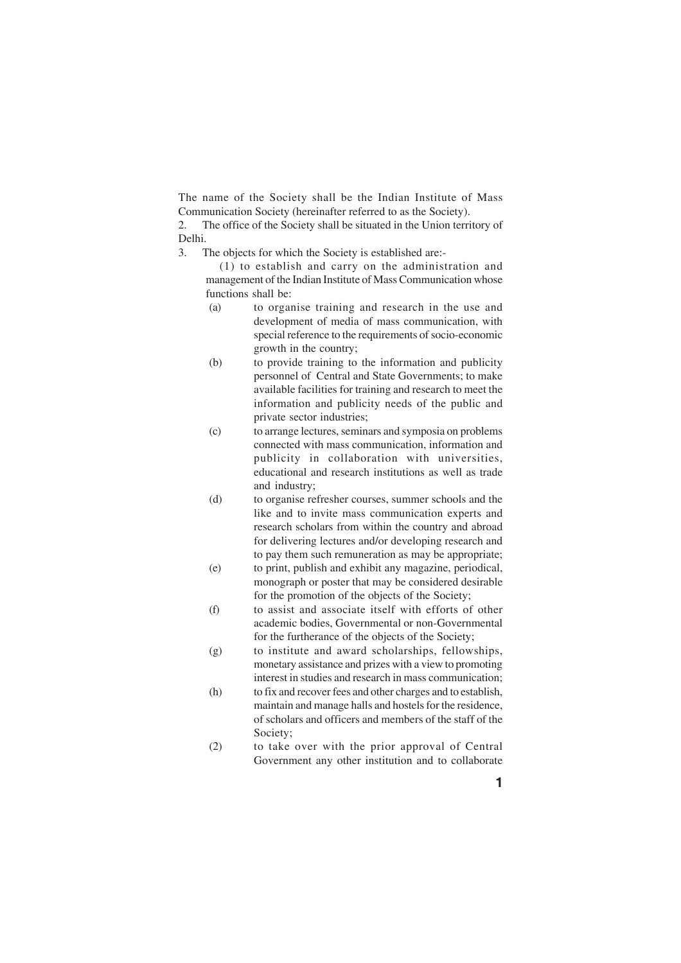The name of the Society shall be the Indian Institute of Mass Communication Society (hereinafter referred to as the Society).

2. The office of the Society shall be situated in the Union territory of Delhi.

3. The objects for which the Society is established are:-

(1) to establish and carry on the administration and management of the Indian Institute of Mass Communication whose functions shall be:

- (a) to organise training and research in the use and development of media of mass communication, with special reference to the requirements of socio-economic growth in the country;
- (b) to provide training to the information and publicity personnel of Central and State Governments; to make available facilities for training and research to meet the information and publicity needs of the public and private sector industries;
- (c) to arrange lectures, seminars and symposia on problems connected with mass communication, information and publicity in collaboration with universities, educational and research institutions as well as trade and industry;
- (d) to organise refresher courses, summer schools and the like and to invite mass communication experts and research scholars from within the country and abroad for delivering lectures and/or developing research and to pay them such remuneration as may be appropriate;
- (e) to print, publish and exhibit any magazine, periodical, monograph or poster that may be considered desirable for the promotion of the objects of the Society;
- (f) to assist and associate itself with efforts of other academic bodies, Governmental or non-Governmental for the furtherance of the objects of the Society;
- (g) to institute and award scholarships, fellowships, monetary assistance and prizes with a view to promoting interest in studies and research in mass communication;
- (h) to fix and recover fees and other charges and to establish, maintain and manage halls and hostels for the residence, of scholars and officers and members of the staff of the Society;
- (2) to take over with the prior approval of Central Government any other institution and to collaborate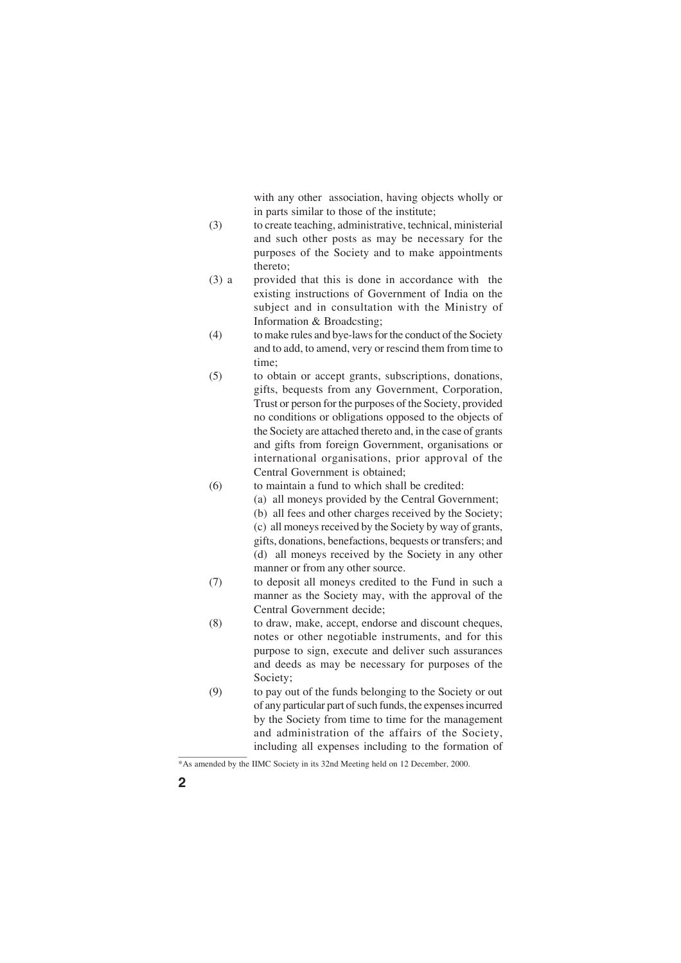with any other association, having objects wholly or in parts similar to those of the institute;

- (3) to create teaching, administrative, technical, ministerial and such other posts as may be necessary for the purposes of the Society and to make appointments thereto;
- (3) a provided that this is done in accordance with the existing instructions of Government of India on the subject and in consultation with the Ministry of Information & Broadcsting;
- (4) to make rules and bye-laws for the conduct of the Society and to add, to amend, very or rescind them from time to time;
- (5) to obtain or accept grants, subscriptions, donations, gifts, bequests from any Government, Corporation, Trust or person for the purposes of the Society, provided no conditions or obligations opposed to the objects of the Society are attached thereto and, in the case of grants and gifts from foreign Government, organisations or international organisations, prior approval of the Central Government is obtained;
- (6) to maintain a fund to which shall be credited:
	- (a) all moneys provided by the Central Government;
	- (b) all fees and other charges received by the Society; (c) all moneys received by the Society by way of grants, gifts, donations, benefactions, bequests or transfers; and (d) all moneys received by the Society in any other manner or from any other source.
- (7) to deposit all moneys credited to the Fund in such a manner as the Society may, with the approval of the Central Government decide;
- (8) to draw, make, accept, endorse and discount cheques, notes or other negotiable instruments, and for this purpose to sign, execute and deliver such assurances and deeds as may be necessary for purposes of the Society;
- (9) to pay out of the funds belonging to the Society or out of any particular part of such funds, the expenses incurred by the Society from time to time for the management and administration of the affairs of the Society, including all expenses including to the formation of

<sup>\*</sup>As amended by the IIMC Society in its 32nd Meeting held on 12 December, 2000.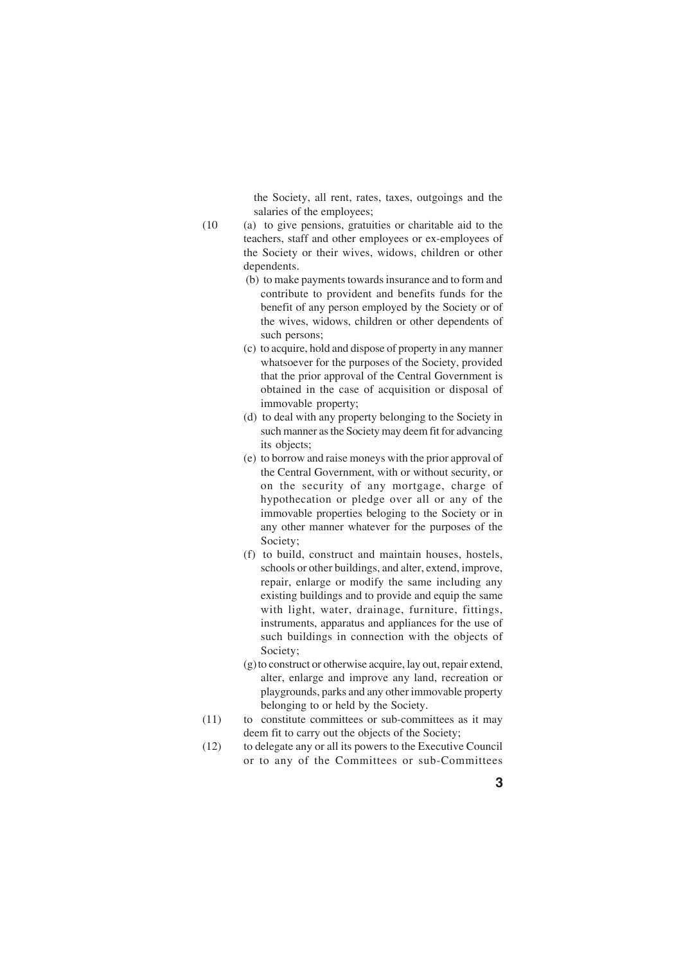the Society, all rent, rates, taxes, outgoings and the salaries of the employees;

- (10 (a) to give pensions, gratuities or charitable aid to the teachers, staff and other employees or ex-employees of the Society or their wives, widows, children or other dependents.
	- (b) to make payments towards insurance and to form and contribute to provident and benefits funds for the benefit of any person employed by the Society or of the wives, widows, children or other dependents of such persons;
	- (c) to acquire, hold and dispose of property in any manner whatsoever for the purposes of the Society, provided that the prior approval of the Central Government is obtained in the case of acquisition or disposal of immovable property;
	- (d) to deal with any property belonging to the Society in such manner as the Society may deem fit for advancing its objects;
	- (e) to borrow and raise moneys with the prior approval of the Central Government, with or without security, or on the security of any mortgage, charge of hypothecation or pledge over all or any of the immovable properties beloging to the Society or in any other manner whatever for the purposes of the Society;
	- (f) to build, construct and maintain houses, hostels, schools or other buildings, and alter, extend, improve, repair, enlarge or modify the same including any existing buildings and to provide and equip the same with light, water, drainage, furniture, fittings, instruments, apparatus and appliances for the use of such buildings in connection with the objects of Society;
	- (g) to construct or otherwise acquire, lay out, repair extend, alter, enlarge and improve any land, recreation or playgrounds, parks and any other immovable property belonging to or held by the Society.
- (11) to constitute committees or sub-committees as it may deem fit to carry out the objects of the Society;
- (12) to delegate any or all its powers to the Executive Council or to any of the Committees or sub-Committees
	- **3**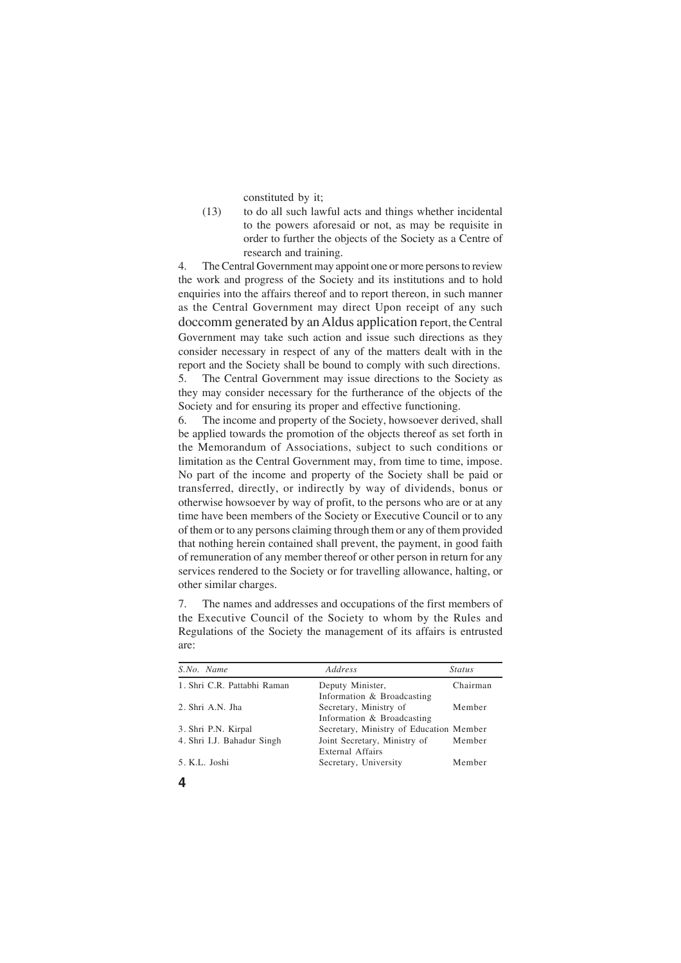constituted by it;

(13) to do all such lawful acts and things whether incidental to the powers aforesaid or not, as may be requisite in order to further the objects of the Society as a Centre of research and training.

4. The Central Government may appoint one or more persons to review the work and progress of the Society and its institutions and to hold enquiries into the affairs thereof and to report thereon, in such manner as the Central Government may direct Upon receipt of any such doccomm generated by an Aldus application report, the Central Government may take such action and issue such directions as they consider necessary in respect of any of the matters dealt with in the report and the Society shall be bound to comply with such directions.

5. The Central Government may issue directions to the Society as they may consider necessary for the furtherance of the objects of the Society and for ensuring its proper and effective functioning.

6. The income and property of the Society, howsoever derived, shall be applied towards the promotion of the objects thereof as set forth in the Memorandum of Associations, subject to such conditions or limitation as the Central Government may, from time to time, impose. No part of the income and property of the Society shall be paid or transferred, directly, or indirectly by way of dividends, bonus or otherwise howsoever by way of profit, to the persons who are or at any time have been members of the Society or Executive Council or to any of them or to any persons claiming through them or any of them provided that nothing herein contained shall prevent, the payment, in good faith of remuneration of any member thereof or other person in return for any services rendered to the Society or for travelling allowance, halting, or other similar charges.

7. The names and addresses and occupations of the first members of the Executive Council of the Society to whom by the Rules and Regulations of the Society the management of its affairs is entrusted are:

| S.No. Name                  | <i><u>Address</u></i>                                | <i>Status</i> |
|-----------------------------|------------------------------------------------------|---------------|
| 1. Shri C.R. Pattabhi Raman | Deputy Minister,<br>Information & Broadcasting       | Chairman      |
| 2. Shri A.N. Jha            | Secretary, Ministry of<br>Information & Broadcasting | Member        |
| 3. Shri P.N. Kirpal         | Secretary, Ministry of Education Member              |               |
| 4. Shri I.J. Bahadur Singh  | Joint Secretary, Ministry of<br>External Affairs     | Member        |
| 5. K.L. Joshi               | Secretary, University                                | Member        |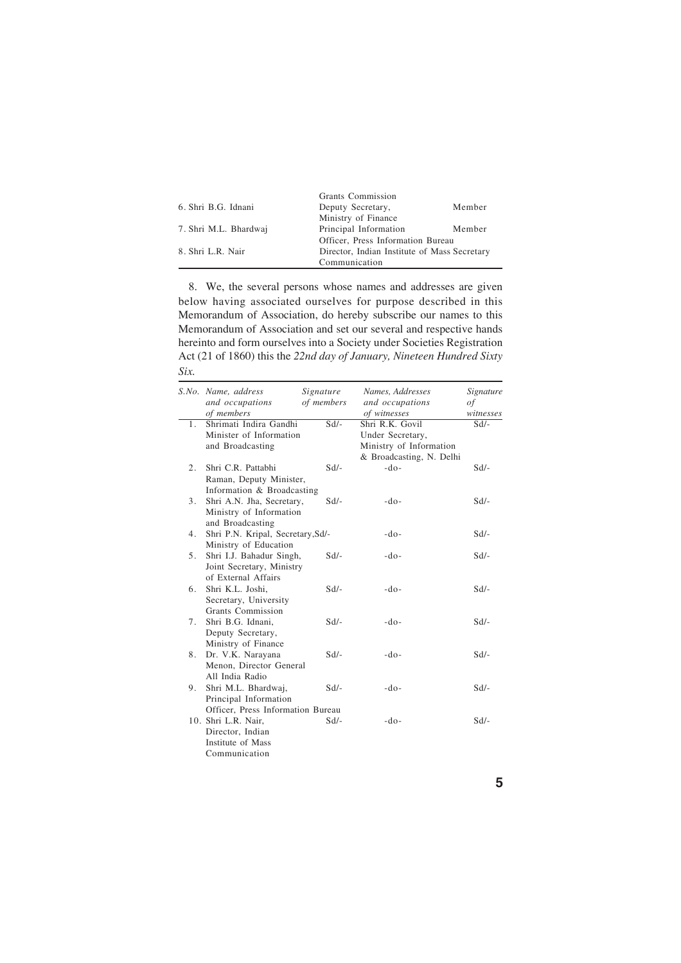|                       | Grants Commission                            |        |
|-----------------------|----------------------------------------------|--------|
| 6. Shri B.G. Idnani   | Deputy Secretary,                            | Member |
|                       | Ministry of Finance                          |        |
| 7. Shri M.L. Bhardwaj | Principal Information                        | Member |
|                       | Officer, Press Information Bureau            |        |
| 8. Shri L.R. Nair     | Director, Indian Institute of Mass Secretary |        |
|                       | Communication                                |        |

8. We, the several persons whose names and addresses are given below having associated ourselves for purpose described in this Memorandum of Association, do hereby subscribe our names to this Memorandum of Association and set our several and respective hands hereinto and form ourselves into a Society under Societies Registration Act (21 of 1860) this the *22nd day of January, Nineteen Hundred Sixty Six.*

|             | S.No. Name, address<br>and occupations<br>of members                              | Signature<br>of members | Names, Addresses<br>and occupations<br>of witnesses                                        | Signature<br>of<br>witnesses |
|-------------|-----------------------------------------------------------------------------------|-------------------------|--------------------------------------------------------------------------------------------|------------------------------|
| $1_{\cdot}$ | Shrimati Indira Gandhi<br>Minister of Information<br>and Broadcasting             | $Sd$ -                  | Shri R.K. Govil<br>Under Secretary,<br>Ministry of Information<br>& Broadcasting, N. Delhi | $Sd$ /-                      |
| 2.          | Shri C.R. Pattabhi<br>Raman, Deputy Minister,<br>Information & Broadcasting       | $Sd$ /-                 | $-do-$                                                                                     | $Sd$ /-                      |
| 3.          | Shri A.N. Jha, Secretary,<br>Ministry of Information<br>and Broadcasting          | $Sd$ -                  | $-do-$                                                                                     | $Sd$ -                       |
| 4.          | Shri P.N. Kripal, Secretary, Sd/-<br>Ministry of Education                        |                         | $-do$                                                                                      | $Sd$ -                       |
| 5.          | Shri I.J. Bahadur Singh,<br>Joint Secretary, Ministry<br>of External Affairs      | $Sd$ -                  | $-do-$                                                                                     | $Sd$ -                       |
| 6.          | Shri K.L. Joshi,<br>Secretary, University<br>Grants Commission                    | $Sd$ -                  | $-do-$                                                                                     | $Sd$ -                       |
| 7.          | Shri B.G. Idnani,<br>Deputy Secretary,<br>Ministry of Finance                     | $Sd$ /-                 | $-do-$                                                                                     | $Sd$ -                       |
| 8.          | Dr. V.K. Narayana<br>Menon, Director General<br>All India Radio                   | $Sd$ -                  | $-do-$                                                                                     | $Sd$ -                       |
| 9.          | Shri M.L. Bhardwaj,<br>Principal Information<br>Officer, Press Information Bureau | $Sd$ -                  | $-do-$                                                                                     | $Sd$ -                       |
|             | 10. Shri L.R. Nair,<br>Director, Indian<br>Institute of Mass<br>Communication     | $Sd$ -                  | $-do$                                                                                      | $Sd$ -                       |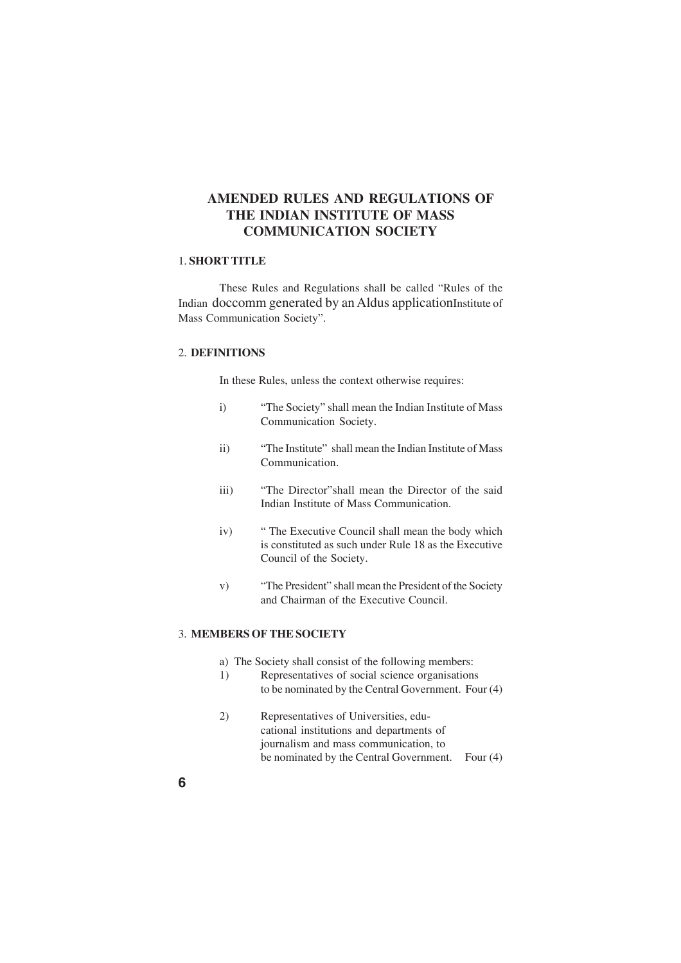### **AMENDED RULES AND REGULATIONS OF THE INDIAN INSTITUTE OF MASS COMMUNICATION SOCIETY**

#### 1. **SHORT TITLE**

These Rules and Regulations shall be called "Rules of the Indian doccomm generated by an Aldus applicationInstitute of Mass Communication Society".

#### 2. **DEFINITIONS**

In these Rules, unless the context otherwise requires:

- i) "The Society" shall mean the Indian Institute of Mass Communication Society.
- ii) "The Institute" shall mean the Indian Institute of Mass Communication.
- iii) "The Director"shall mean the Director of the said Indian Institute of Mass Communication.
- iv) " The Executive Council shall mean the body which is constituted as such under Rule 18 as the Executive Council of the Society.
- v) "The President" shall mean the President of the Society and Chairman of the Executive Council.

### 3. **MEMBERS OF THE SOCIETY**

- a) The Society shall consist of the following members:
- 1) Representatives of social science organisations to be nominated by the Central Government. Four (4)
- 2) Representatives of Universities, educational institutions and departments of journalism and mass communication, to be nominated by the Central Government. Four (4)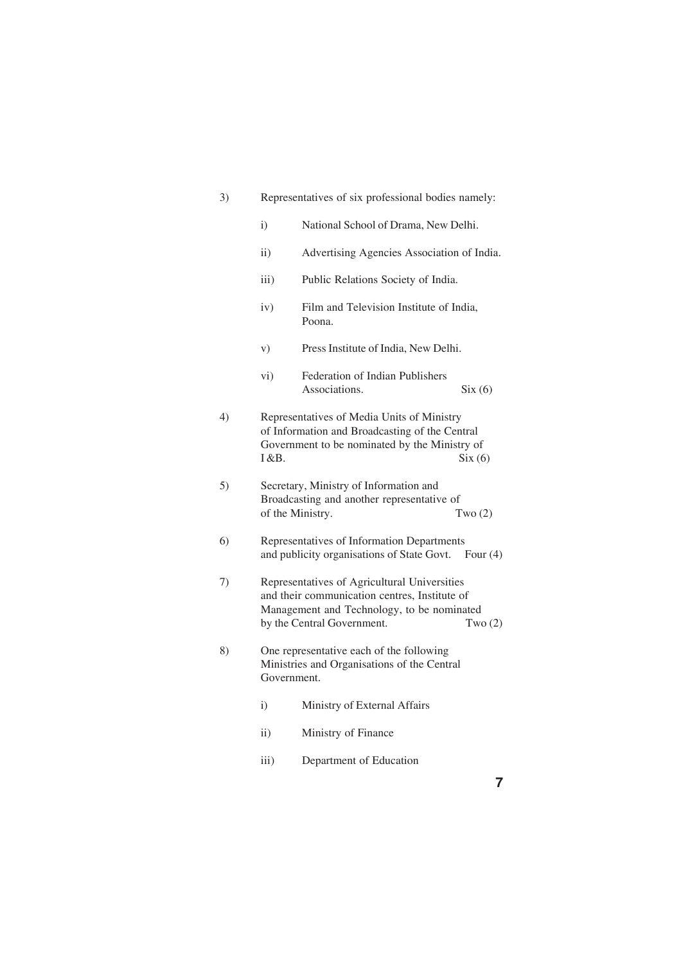| 3) | Representatives of six professional bodies namely: |                                                                                                                                                                           |                 |
|----|----------------------------------------------------|---------------------------------------------------------------------------------------------------------------------------------------------------------------------------|-----------------|
|    | $\mathbf{i}$                                       | National School of Drama, New Delhi.                                                                                                                                      |                 |
|    | $\rm ii)$                                          | Advertising Agencies Association of India.                                                                                                                                |                 |
|    | $\overline{111}$                                   | Public Relations Society of India.                                                                                                                                        |                 |
|    | iv)                                                | Film and Television Institute of India,<br>Poona.                                                                                                                         |                 |
|    | V)                                                 | Press Institute of India, New Delhi.                                                                                                                                      |                 |
|    | vi)                                                | <b>Federation of Indian Publishers</b><br>Associations.                                                                                                                   | Six(6)          |
| 4) | I &B.                                              | Representatives of Media Units of Ministry<br>of Information and Broadcasting of the Central<br>Government to be nominated by the Ministry of                             | $\text{Six}(6)$ |
| 5) | of the Ministry.                                   | Secretary, Ministry of Information and<br>Broadcasting and another representative of                                                                                      | Two $(2)$       |
| 6) |                                                    | Representatives of Information Departments<br>and publicity organisations of State Govt.                                                                                  | Four $(4)$      |
| 7) |                                                    | Representatives of Agricultural Universities<br>and their communication centres, Institute of<br>Management and Technology, to be nominated<br>by the Central Government. | Two $(2)$       |
| 8) | Government.                                        | One representative each of the following<br>Ministries and Organisations of the Central                                                                                   |                 |
|    | i)                                                 | Ministry of External Affairs                                                                                                                                              |                 |
|    | $\ddot{i}$                                         | Ministry of Finance                                                                                                                                                       |                 |
|    | $\overline{111})$                                  | Department of Education                                                                                                                                                   |                 |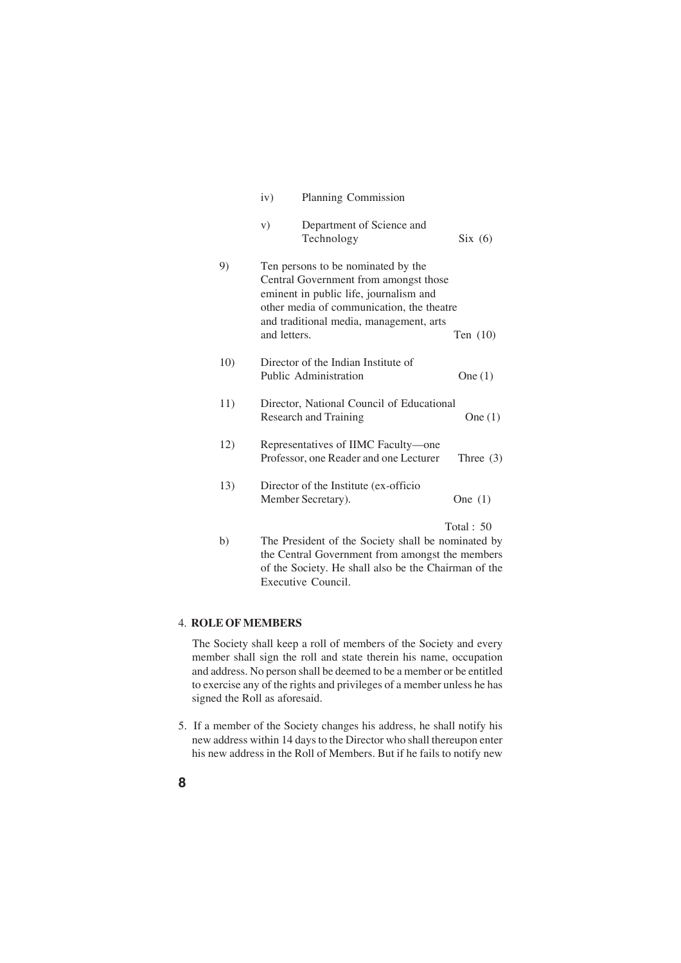|     | iv)          | Planning Commission                                                                                                                                                                                           |              |
|-----|--------------|---------------------------------------------------------------------------------------------------------------------------------------------------------------------------------------------------------------|--------------|
|     | V)           | Department of Science and<br>Technology                                                                                                                                                                       | Six(6)       |
| 9)  | and letters. | Ten persons to be nominated by the<br>Central Government from amongst those<br>eminent in public life, journalism and<br>other media of communication, the theatre<br>and traditional media, management, arts | Ten $(10)$   |
| 10) |              | Director of the Indian Institute of<br>Public Administration                                                                                                                                                  | One $(1)$    |
| 11) |              | Director, National Council of Educational<br>Research and Training                                                                                                                                            | One $(1)$    |
| 12) |              | Representatives of IIMC Faculty-one<br>Professor, one Reader and one Lecturer                                                                                                                                 | Three $(3)$  |
| 13) |              | Director of the Institute (ex-officio<br>Member Secretary).                                                                                                                                                   | One $(1)$    |
| b)  |              | The President of the Society shall be nominated by<br>the Central Government from amongst the members<br>of the Society. He shall also be the Chairman of the<br>Executive Council.                           | Total : $50$ |

#### 4. **ROLE OF MEMBERS**

 The Society shall keep a roll of members of the Society and every member shall sign the roll and state therein his name, occupation and address. No person shall be deemed to be a member or be entitled to exercise any of the rights and privileges of a member unless he has signed the Roll as aforesaid.

5. If a member of the Society changes his address, he shall notify his new address within 14 days to the Director who shall thereupon enter his new address in the Roll of Members. But if he fails to notify new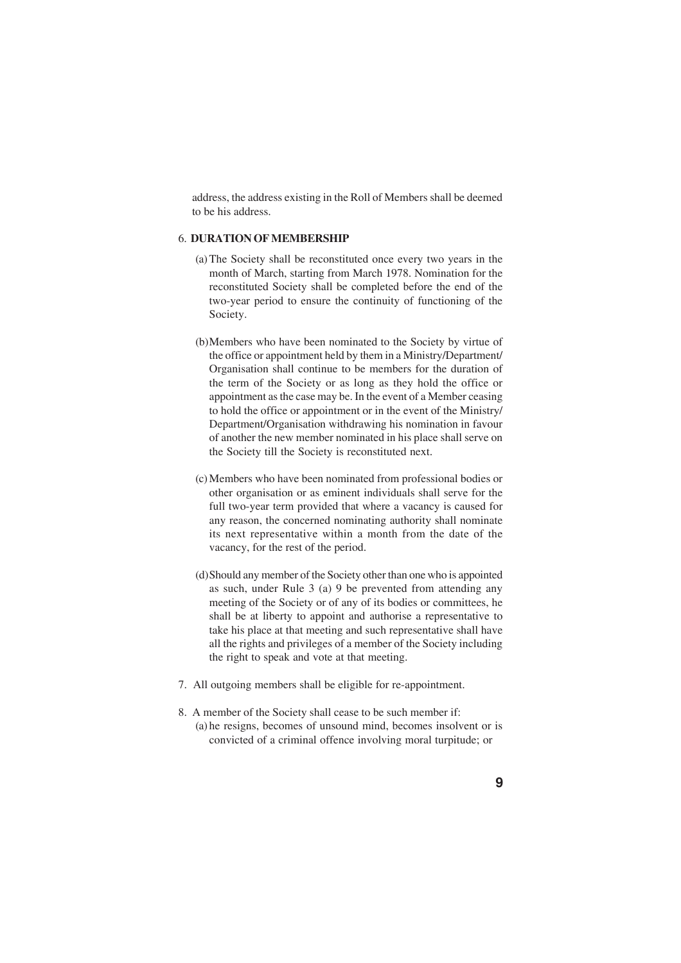address, the address existing in the Roll of Members shall be deemed to be his address.

#### 6. **DURATION OF MEMBERSHIP**

- (a) The Society shall be reconstituted once every two years in the month of March, starting from March 1978. Nomination for the reconstituted Society shall be completed before the end of the two-year period to ensure the continuity of functioning of the Society.
- (b)Members who have been nominated to the Society by virtue of the office or appointment held by them in a Ministry/Department/ Organisation shall continue to be members for the duration of the term of the Society or as long as they hold the office or appointment as the case may be. In the event of a Member ceasing to hold the office or appointment or in the event of the Ministry/ Department/Organisation withdrawing his nomination in favour of another the new member nominated in his place shall serve on the Society till the Society is reconstituted next.
- (c) Members who have been nominated from professional bodies or other organisation or as eminent individuals shall serve for the full two-year term provided that where a vacancy is caused for any reason, the concerned nominating authority shall nominate its next representative within a month from the date of the vacancy, for the rest of the period.
- (d)Should any member of the Society other than one who is appointed as such, under Rule 3 (a) 9 be prevented from attending any meeting of the Society or of any of its bodies or committees, he shall be at liberty to appoint and authorise a representative to take his place at that meeting and such representative shall have all the rights and privileges of a member of the Society including the right to speak and vote at that meeting.
- 7. All outgoing members shall be eligible for re-appointment.
- 8. A member of the Society shall cease to be such member if: (a) he resigns, becomes of unsound mind, becomes insolvent or is convicted of a criminal offence involving moral turpitude; or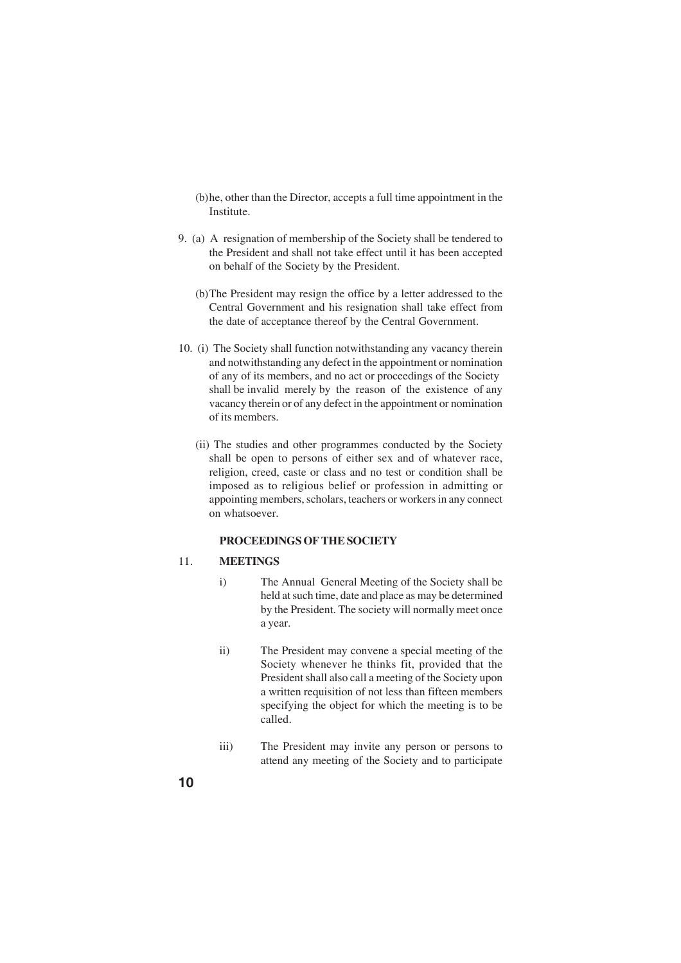(b)he, other than the Director, accepts a full time appointment in the Institute.

- 9. (a) A resignation of membership of the Society shall be tendered to the President and shall not take effect until it has been accepted on behalf of the Society by the President.
	- (b)The President may resign the office by a letter addressed to the Central Government and his resignation shall take effect from the date of acceptance thereof by the Central Government.
- 10. (i) The Society shall function notwithstanding any vacancy therein and notwithstanding any defect in the appointment or nomination of any of its members, and no act or proceedings of the Society shall be invalid merely by the reason of the existence of any vacancy therein or of any defect in the appointment or nomination of its members.
	- (ii) The studies and other programmes conducted by the Society shall be open to persons of either sex and of whatever race, religion, creed, caste or class and no test or condition shall be imposed as to religious belief or profession in admitting or appointing members, scholars, teachers or workers in any connect on whatsoever.

#### **PROCEEDINGS OF THE SOCIETY**

#### 11. **MEETINGS**

- i) The Annual General Meeting of the Society shall be held at such time, date and place as may be determined by the President. The society will normally meet once a year.
- ii) The President may convene a special meeting of the Society whenever he thinks fit, provided that the President shall also call a meeting of the Society upon a written requisition of not less than fifteen members specifying the object for which the meeting is to be called.
- iii) The President may invite any person or persons to attend any meeting of the Society and to participate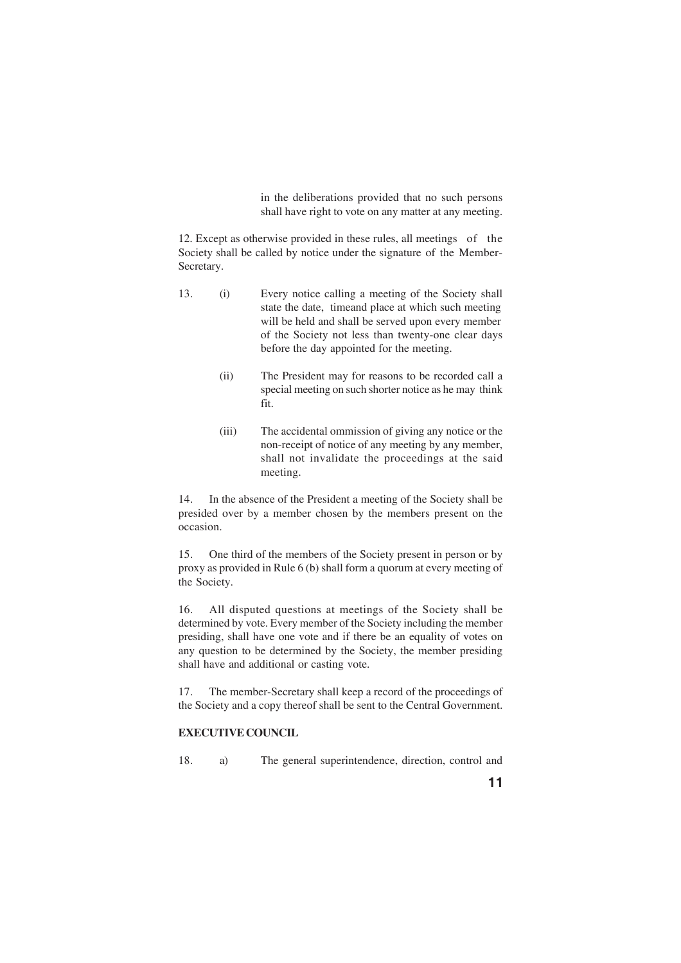in the deliberations provided that no such persons shall have right to vote on any matter at any meeting.

12. Except as otherwise provided in these rules, all meetings of the Society shall be called by notice under the signature of the Member-Secretary.

- 13. (i) Every notice calling a meeting of the Society shall state the date, timeand place at which such meeting will be held and shall be served upon every member of the Society not less than twenty-one clear days before the day appointed for the meeting.
	- (ii) The President may for reasons to be recorded call a special meeting on such shorter notice as he may think fit.
	- (iii) The accidental ommission of giving any notice or the non-receipt of notice of any meeting by any member, shall not invalidate the proceedings at the said meeting.

14. In the absence of the President a meeting of the Society shall be presided over by a member chosen by the members present on the occasion.

15. One third of the members of the Society present in person or by proxy as provided in Rule 6 (b) shall form a quorum at every meeting of the Society.

16. All disputed questions at meetings of the Society shall be determined by vote. Every member of the Society including the member presiding, shall have one vote and if there be an equality of votes on any question to be determined by the Society, the member presiding shall have and additional or casting vote.

17. The member-Secretary shall keep a record of the proceedings of the Society and a copy thereof shall be sent to the Central Government.

#### **EXECUTIVE COUNCIL**

18. a) The general superintendence, direction, control and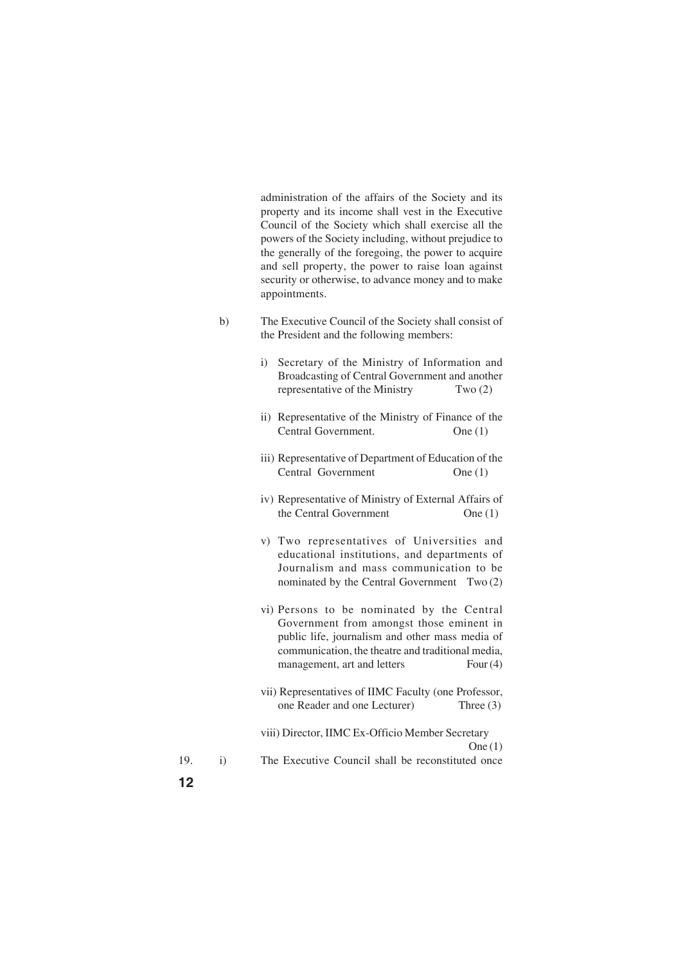administration of the affairs of the Society and its property and its income shall vest in the Executive Council of the Society which shall exercise all the powers of the Society including, without prejudice to the generally of the foregoing, the power to acquire and sell property, the power to raise loan against security or otherwise, to advance money and to make appointments.

- b) The Executive Council of the Society shall consist of the President and the following members:
	- i) Secretary of the Ministry of Information and Broadcasting of Central Government and another representative of the Ministry Two (2)
	- ii) Representative of the Ministry of Finance of the Central Government. One (1)
	- iii) Representative of Department of Education of the Central Government One (1)
	- iv) Representative of Ministry of External Affairs of the Central Government One (1)
	- v) Two representatives of Universities and educational institutions, and departments of Journalism and mass communication to be nominated by the Central Government Two (2)
	- vi) Persons to be nominated by the Central Government from amongst those eminent in public life, journalism and other mass media of communication, the theatre and traditional media, management, art and letters Four (4)
	- vii) Representatives of IIMC Faculty (one Professor, one Reader and one Lecturer) Three (3)

viii) Director, IIMC Ex-Officio Member Secretary  $One(1)$ 19. i) The Executive Council shall be reconstituted once

**12**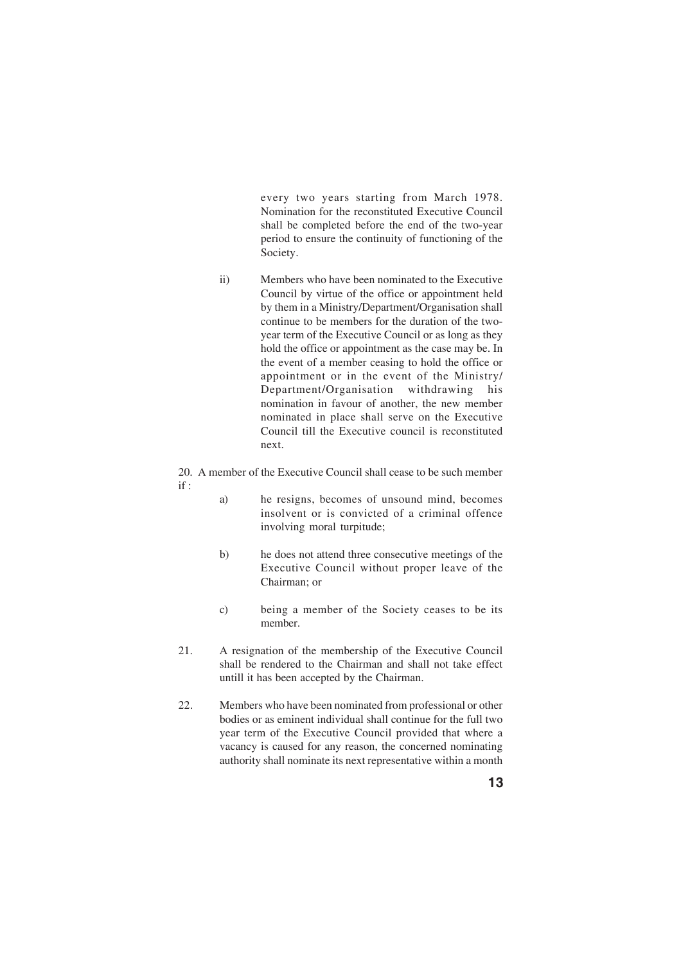every two years starting from March 1978. Nomination for the reconstituted Executive Council shall be completed before the end of the two-year period to ensure the continuity of functioning of the Society.

- ii) Members who have been nominated to the Executive Council by virtue of the office or appointment held by them in a Ministry/Department/Organisation shall continue to be members for the duration of the twoyear term of the Executive Council or as long as they hold the office or appointment as the case may be. In the event of a member ceasing to hold the office or appointment or in the event of the Ministry/ Department/Organisation withdrawing his nomination in favour of another, the new member nominated in place shall serve on the Executive Council till the Executive council is reconstituted next.
- 20. A member of the Executive Council shall cease to be such member if :
	- a) he resigns, becomes of unsound mind, becomes insolvent or is convicted of a criminal offence involving moral turpitude;
	- b) he does not attend three consecutive meetings of the Executive Council without proper leave of the Chairman; or
	- c) being a member of the Society ceases to be its member.
- 21. A resignation of the membership of the Executive Council shall be rendered to the Chairman and shall not take effect untill it has been accepted by the Chairman.
- 22. Members who have been nominated from professional or other bodies or as eminent individual shall continue for the full two year term of the Executive Council provided that where a vacancy is caused for any reason, the concerned nominating authority shall nominate its next representative within a month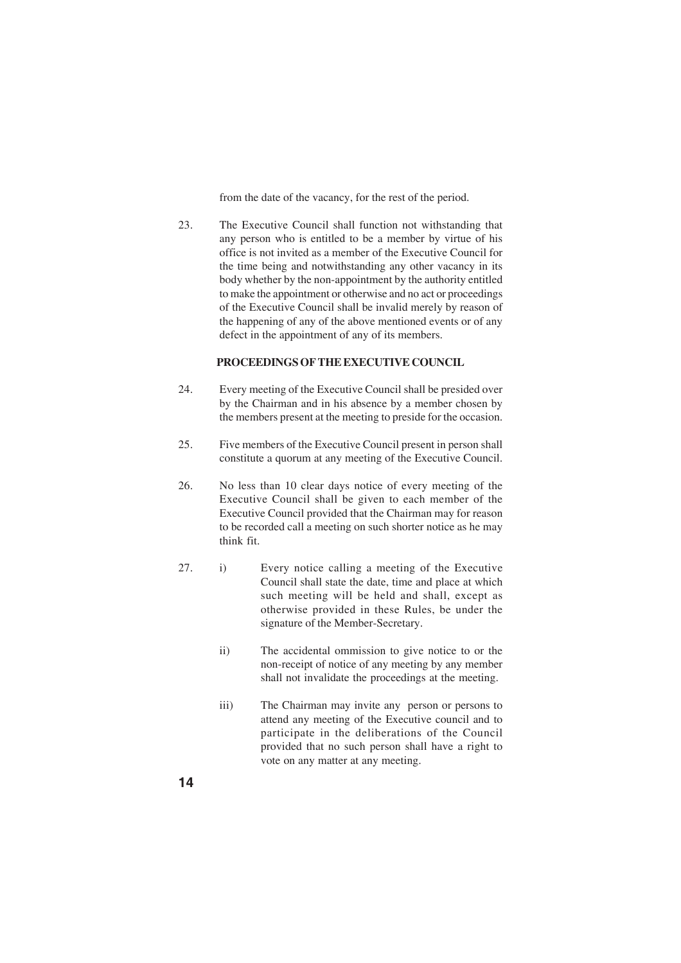from the date of the vacancy, for the rest of the period.

23. The Executive Council shall function not withstanding that any person who is entitled to be a member by virtue of his office is not invited as a member of the Executive Council for the time being and notwithstanding any other vacancy in its body whether by the non-appointment by the authority entitled to make the appointment or otherwise and no act or proceedings of the Executive Council shall be invalid merely by reason of the happening of any of the above mentioned events or of any defect in the appointment of any of its members.

#### **PROCEEDINGS OF THE EXECUTIVE COUNCIL**

- 24. Every meeting of the Executive Council shall be presided over by the Chairman and in his absence by a member chosen by the members present at the meeting to preside for the occasion.
- 25. Five members of the Executive Council present in person shall constitute a quorum at any meeting of the Executive Council.
- 26. No less than 10 clear days notice of every meeting of the Executive Council shall be given to each member of the Executive Council provided that the Chairman may for reason to be recorded call a meeting on such shorter notice as he may think fit.
- 27. i) Every notice calling a meeting of the Executive Council shall state the date, time and place at which such meeting will be held and shall, except as otherwise provided in these Rules, be under the signature of the Member-Secretary.
	- ii) The accidental ommission to give notice to or the non-receipt of notice of any meeting by any member shall not invalidate the proceedings at the meeting.
	- iii) The Chairman may invite any person or persons to attend any meeting of the Executive council and to participate in the deliberations of the Council provided that no such person shall have a right to vote on any matter at any meeting.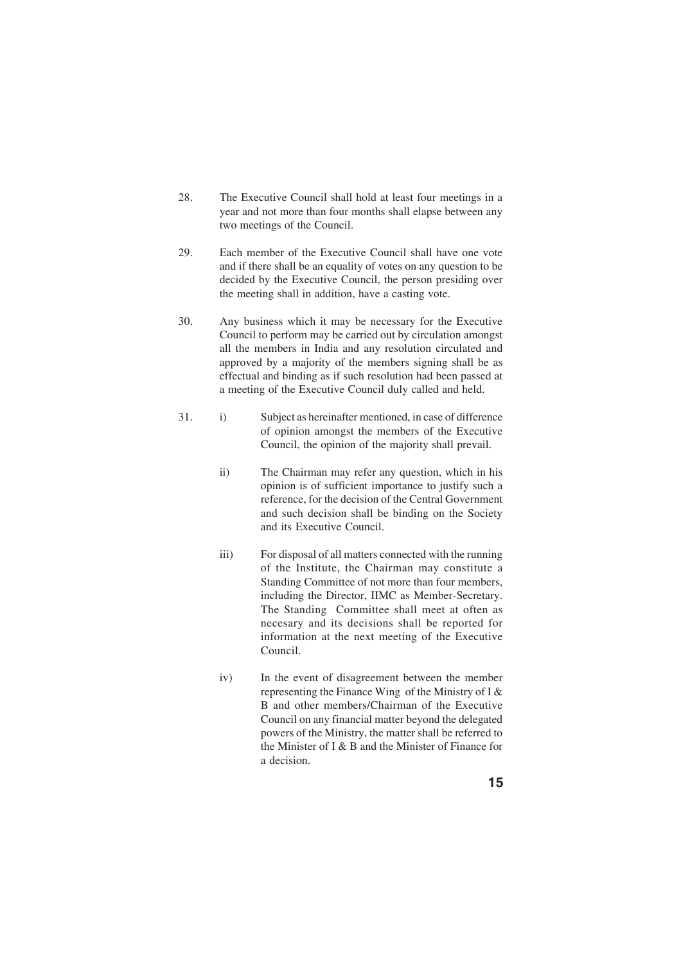- 28. The Executive Council shall hold at least four meetings in a year and not more than four months shall elapse between any two meetings of the Council.
- 29. Each member of the Executive Council shall have one vote and if there shall be an equality of votes on any question to be decided by the Executive Council, the person presiding over the meeting shall in addition, have a casting vote.
- 30. Any business which it may be necessary for the Executive Council to perform may be carried out by circulation amongst all the members in India and any resolution circulated and approved by a majority of the members signing shall be as effectual and binding as if such resolution had been passed at a meeting of the Executive Council duly called and held.
- 31. i) Subject as hereinafter mentioned, in case of difference of opinion amongst the members of the Executive Council, the opinion of the majority shall prevail.
	- ii) The Chairman may refer any question, which in his opinion is of sufficient importance to justify such a reference, for the decision of the Central Government and such decision shall be binding on the Society and its Executive Council.
	- iii) For disposal of all matters connected with the running of the Institute, the Chairman may constitute a Standing Committee of not more than four members, including the Director, IIMC as Member-Secretary. The Standing Committee shall meet at often as necesary and its decisions shall be reported for information at the next meeting of the Executive Council.
	- iv) In the event of disagreement between the member representing the Finance Wing of the Ministry of I & B and other members/Chairman of the Executive Council on any financial matter beyond the delegated powers of the Ministry, the matter shall be referred to the Minister of I & B and the Minister of Finance for a decision.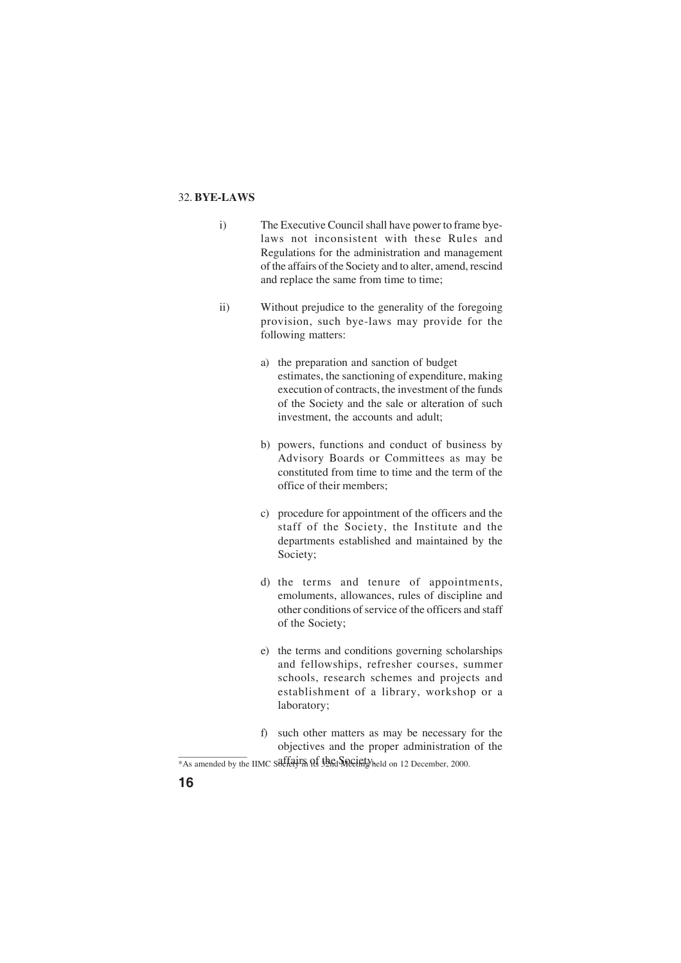#### 32. **BYE-LAWS**

- i) The Executive Council shall have power to frame byelaws not inconsistent with these Rules and Regulations for the administration and management of the affairs of the Society and to alter, amend, rescind and replace the same from time to time;
- ii) Without prejudice to the generality of the foregoing provision, such bye-laws may provide for the following matters:
	- a) the preparation and sanction of budget estimates, the sanctioning of expenditure, making execution of contracts, the investment of the funds of the Society and the sale or alteration of such investment, the accounts and adult;
	- b) powers, functions and conduct of business by Advisory Boards or Committees as may be constituted from time to time and the term of the office of their members;
	- c) procedure for appointment of the officers and the staff of the Society, the Institute and the departments established and maintained by the Society;
	- d) the terms and tenure of appointments, emoluments, allowances, rules of discipline and other conditions of service of the officers and staff of the Society;
	- e) the terms and conditions governing scholarships and fellowships, refresher courses, summer schools, research schemes and projects and establishment of a library, workshop or a laboratory;
	- f) such other matters as may be necessary for the objectives and the proper administration of the

educed the Society of the Society in the proper deministration.<br>\*As amended by the IIMC Society in its 32nd Meeting held on 12 December, 2000.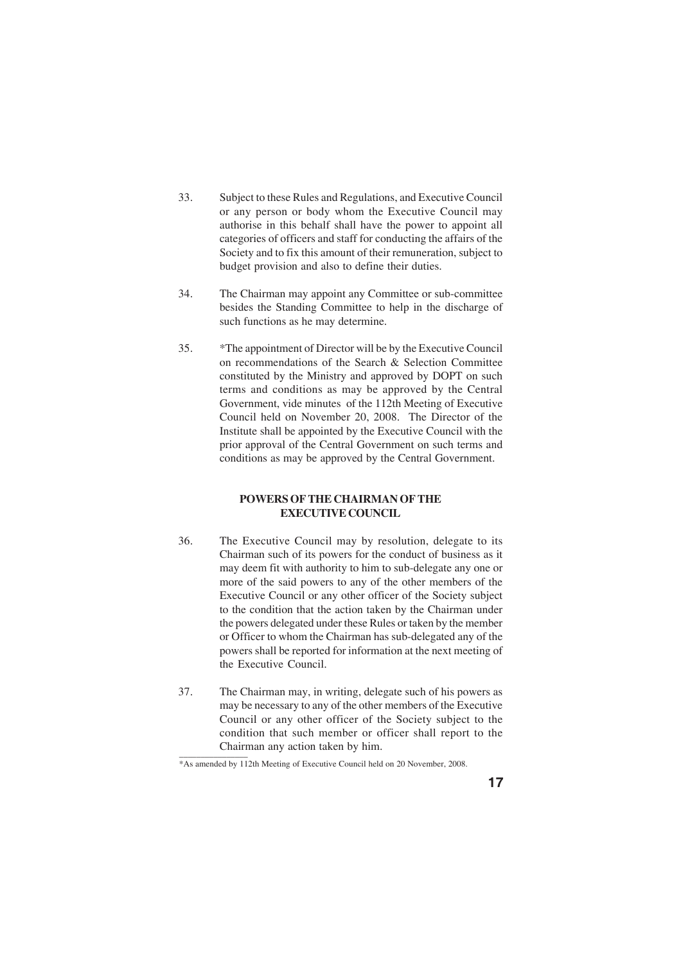- 33. Subject to these Rules and Regulations, and Executive Council or any person or body whom the Executive Council may authorise in this behalf shall have the power to appoint all categories of officers and staff for conducting the affairs of the Society and to fix this amount of their remuneration, subject to budget provision and also to define their duties.
- 34. The Chairman may appoint any Committee or sub-committee besides the Standing Committee to help in the discharge of such functions as he may determine.
- 35. \*The appointment of Director will be by the Executive Council on recommendations of the Search & Selection Committee constituted by the Ministry and approved by DOPT on such terms and conditions as may be approved by the Central Government, vide minutes of the 112th Meeting of Executive Council held on November 20, 2008. The Director of the Institute shall be appointed by the Executive Council with the prior approval of the Central Government on such terms and conditions as may be approved by the Central Government.

#### **POWERS OF THE CHAIRMAN OF THE EXECUTIVE COUNCIL**

- 36. The Executive Council may by resolution, delegate to its Chairman such of its powers for the conduct of business as it may deem fit with authority to him to sub-delegate any one or more of the said powers to any of the other members of the Executive Council or any other officer of the Society subject to the condition that the action taken by the Chairman under the powers delegated under these Rules or taken by the member or Officer to whom the Chairman has sub-delegated any of the powers shall be reported for information at the next meeting of the Executive Council.
- 37. The Chairman may, in writing, delegate such of his powers as may be necessary to any of the other members of the Executive Council or any other officer of the Society subject to the condition that such member or officer shall report to the Chairman any action taken by him.

<sup>\*</sup>As amended by 112th Meeting of Executive Council held on 20 November, 2008.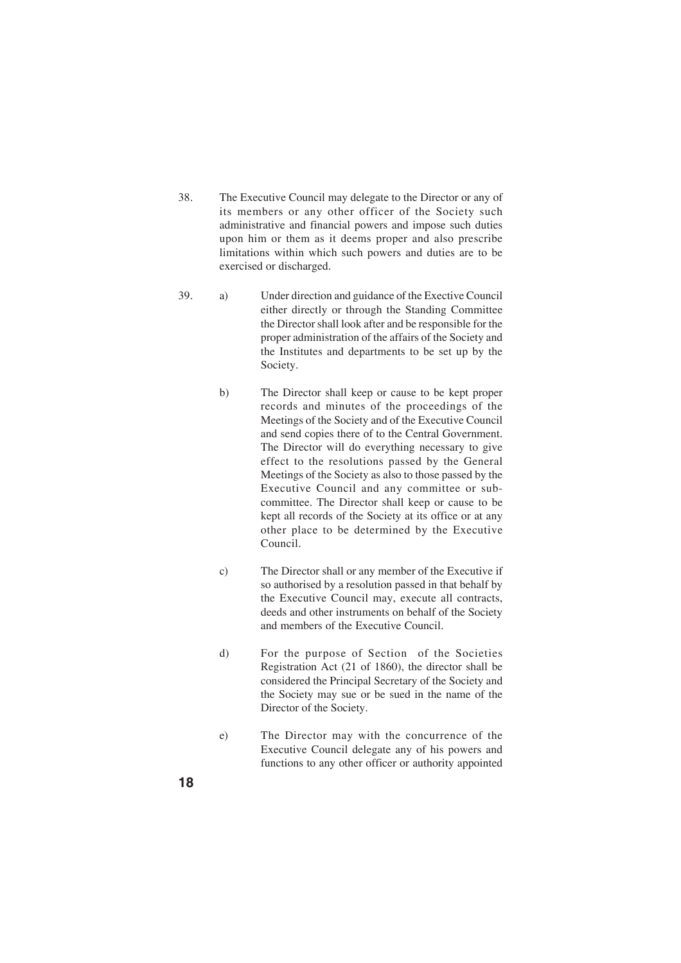- 38. The Executive Council may delegate to the Director or any of its members or any other officer of the Society such administrative and financial powers and impose such duties upon him or them as it deems proper and also prescribe limitations within which such powers and duties are to be exercised or discharged.
- 39. a) Under direction and guidance of the Exective Council either directly or through the Standing Committee the Director shall look after and be responsible for the proper administration of the affairs of the Society and the Institutes and departments to be set up by the Society.
	- b) The Director shall keep or cause to be kept proper records and minutes of the proceedings of the Meetings of the Society and of the Executive Council and send copies there of to the Central Government. The Director will do everything necessary to give effect to the resolutions passed by the General Meetings of the Society as also to those passed by the Executive Council and any committee or subcommittee. The Director shall keep or cause to be kept all records of the Society at its office or at any other place to be determined by the Executive Council.
	- c) The Director shall or any member of the Executive if so authorised by a resolution passed in that behalf by the Executive Council may, execute all contracts, deeds and other instruments on behalf of the Society and members of the Executive Council.
	- d) For the purpose of Section of the Societies Registration Act (21 of 1860), the director shall be considered the Principal Secretary of the Society and the Society may sue or be sued in the name of the Director of the Society.
	- e) The Director may with the concurrence of the Executive Council delegate any of his powers and functions to any other officer or authority appointed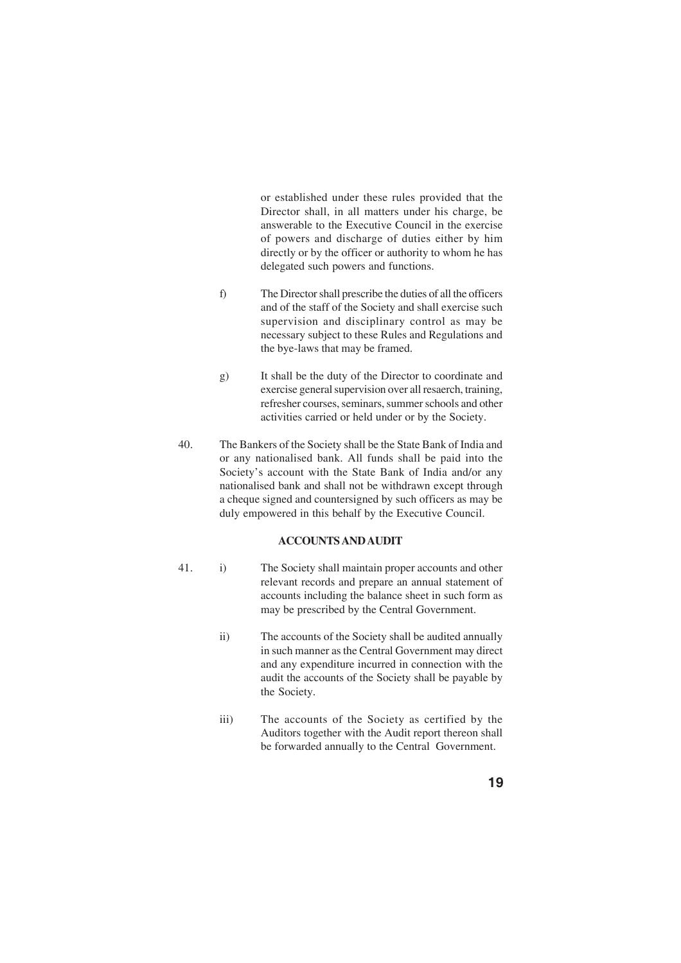or established under these rules provided that the Director shall, in all matters under his charge, be answerable to the Executive Council in the exercise of powers and discharge of duties either by him directly or by the officer or authority to whom he has delegated such powers and functions.

- f) The Director shall prescribe the duties of all the officers and of the staff of the Society and shall exercise such supervision and disciplinary control as may be necessary subject to these Rules and Regulations and the bye-laws that may be framed.
- g) It shall be the duty of the Director to coordinate and exercise general supervision over all resaerch, training, refresher courses, seminars, summer schools and other activities carried or held under or by the Society.
- 40. The Bankers of the Society shall be the State Bank of India and or any nationalised bank. All funds shall be paid into the Society's account with the State Bank of India and/or any nationalised bank and shall not be withdrawn except through a cheque signed and countersigned by such officers as may be duly empowered in this behalf by the Executive Council.

#### **ACCOUNTS AND AUDIT**

- 41. i) The Society shall maintain proper accounts and other relevant records and prepare an annual statement of accounts including the balance sheet in such form as may be prescribed by the Central Government.
	- ii) The accounts of the Society shall be audited annually in such manner as the Central Government may direct and any expenditure incurred in connection with the audit the accounts of the Society shall be payable by the Society.
	- iii) The accounts of the Society as certified by the Auditors together with the Audit report thereon shall be forwarded annually to the Central Government.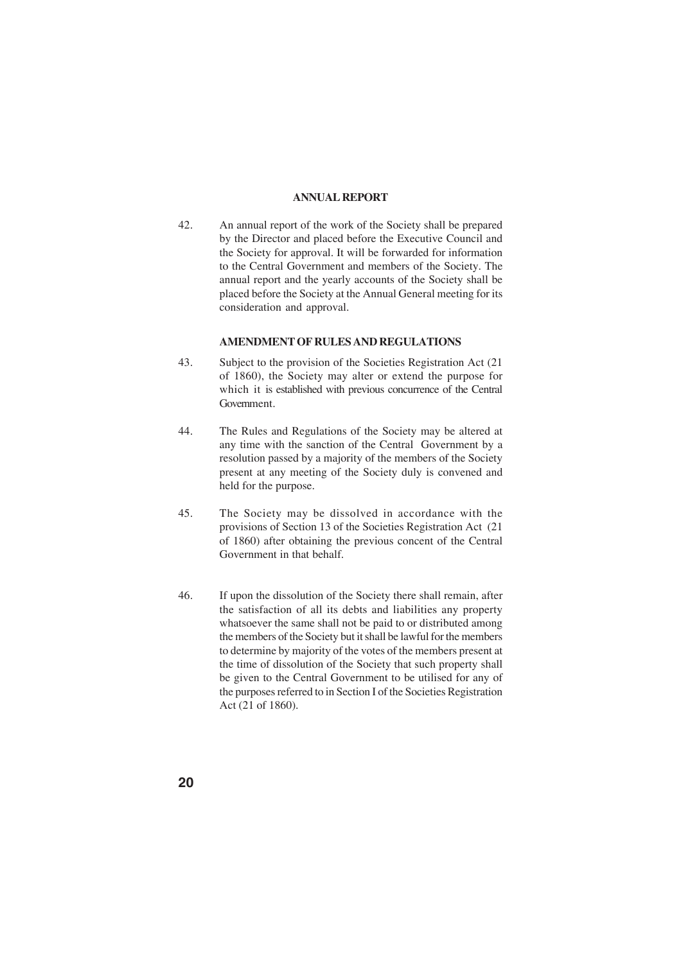#### **ANNUAL REPORT**

42. An annual report of the work of the Society shall be prepared by the Director and placed before the Executive Council and the Society for approval. It will be forwarded for information to the Central Government and members of the Society. The annual report and the yearly accounts of the Society shall be placed before the Society at the Annual General meeting for its consideration and approval.

#### **AMENDMENT OF RULES AND REGULATIONS**

- 43. Subject to the provision of the Societies Registration Act (21 of 1860), the Society may alter or extend the purpose for which it is established with previous concurrence of the Central Government.
- 44. The Rules and Regulations of the Society may be altered at any time with the sanction of the Central Government by a resolution passed by a majority of the members of the Society present at any meeting of the Society duly is convened and held for the purpose.
- 45. The Society may be dissolved in accordance with the provisions of Section 13 of the Societies Registration Act (21 of 1860) after obtaining the previous concent of the Central Government in that behalf.
- 46. If upon the dissolution of the Society there shall remain, after the satisfaction of all its debts and liabilities any property whatsoever the same shall not be paid to or distributed among the members of the Society but it shall be lawful for the members to determine by majority of the votes of the members present at the time of dissolution of the Society that such property shall be given to the Central Government to be utilised for any of the purposes referred to in Section I of the Societies Registration Act (21 of 1860).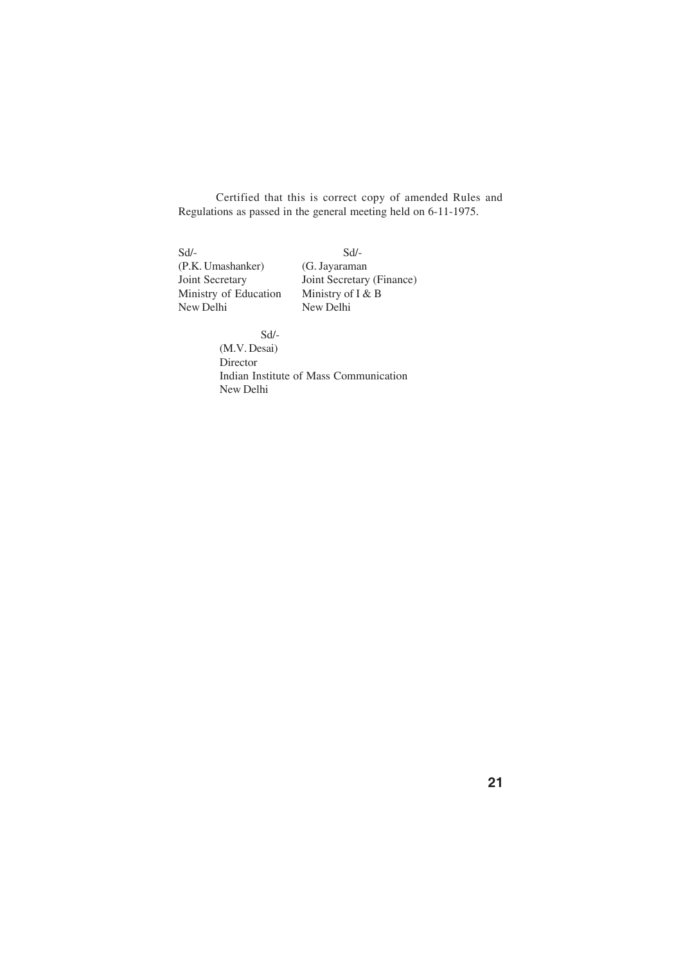Certified that this is correct copy of amended Rules and Regulations as passed in the general meeting held on 6-11-1975.

Sd/- Sd/- (P.K. Umashanker) (G. Jayaraman Joint Secretary Joint Secretary (Finance) Ministry of Education Ministry of I & B<br>New Delhi New Delhi New Delhi

> Sd/- (M.V. Desai) Director Indian Institute of Mass Communication New Delhi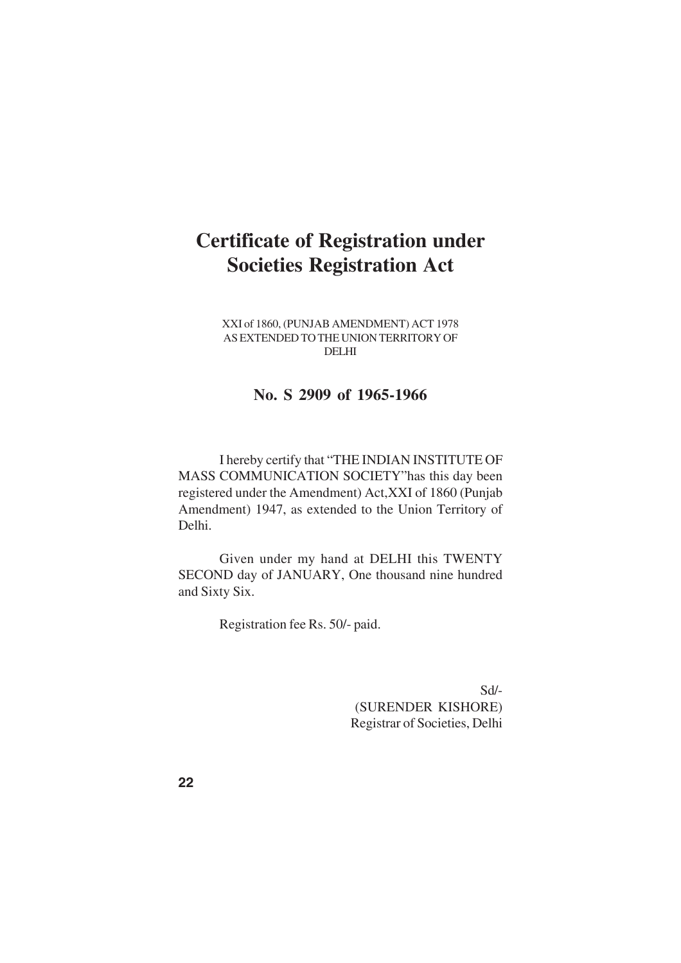# **Certificate of Registration under Societies Registration Act**

XXI of 1860, (PUNJAB AMENDMENT) ACT 1978 AS EXTENDED TO THE UNION TERRITORY OF DELHI

### **No. S 2909 of 1965-1966**

I hereby certify that "THE INDIAN INSTITUTE OF MASS COMMUNICATION SOCIETY"has this day been registered under the Amendment) Act,XXI of 1860 (Punjab Amendment) 1947, as extended to the Union Territory of Delhi.

Given under my hand at DELHI this TWENTY SECOND day of JANUARY, One thousand nine hundred and Sixty Six.

Registration fee Rs. 50/- paid.

Sd/- (SURENDER KISHORE) Registrar of Societies, Delhi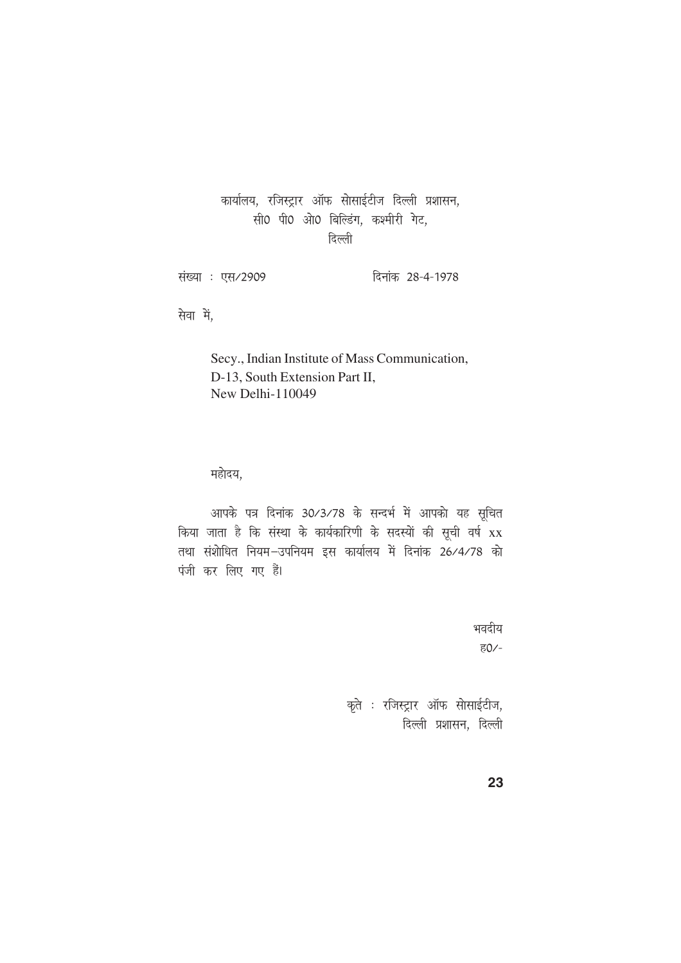## कार्यालय, रजिस्ट्रार ऑफ सोसाईटीज दिल्ली प्रशासन, सी0 पी0 ओ0 बिल्डिंग, कश्मीरी गेट, दिल्ली

संख्या : एस/2909 दिनांक 28-4-1978

सेवा में,

Secy., Indian Institute of Mass Communication, D-13, South Extension Part II, New Delhi-110049

महोदय,

आपके पत्र दिनांक 30/3/78 के सन्दर्भ में आपको यह सूचित किया जाता है कि संस्था के कार्यकारिणी के सदस्यों की सूची वर्ष  $xx$ तथा संशोधित नियम-उपनियम इस कार्यालय में दिनांक 26/4/78 को पंजी कर लिए गए हैं।

> भवदीय  $\overline{60}$ /-

कृते : रजिस्ट्रार ऑफ सोसाईटीज, दिल्ली प्रशासन, दिल्ली